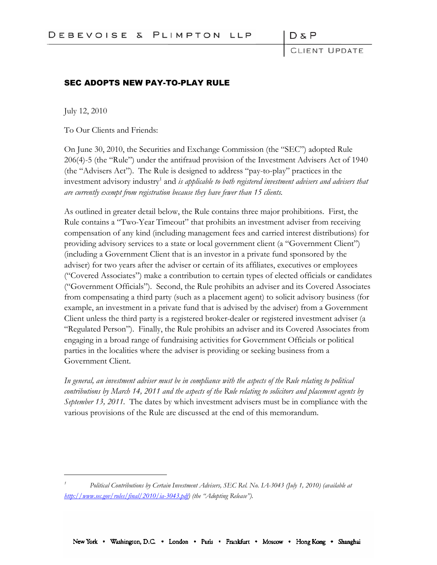DπP

CLIENT UPDATE

### SEC ADOPTS NEW PAY-TO-PLAY RULE

July 12, 2010

To Our Clients and Friends:

On June 30, 2010, the Securities and Exchange Commission (the "SEC") adopted Rule 206(4)-5 (the "Rule") under the antifraud provision of the Investment Advisers Act of 1940 (the "Advisers Act"). The Rule is designed to address "pay-to-play" practices in the investment advisory industry<sup>1</sup> and *is applicable to both registered investment advisers and advisers that are currently exempt from registration because they have fewer than 15 clients.*

As outlined in greater detail below, the Rule contains three major prohibitions. First, the Rule contains a "Two-Year Timeout" that prohibits an investment adviser from receiving compensation of any kind (including management fees and carried interest distributions) for providing advisory services to a state or local government client (a "Government Client") (including a Government Client that is an investor in a private fund sponsored by the adviser) for two years after the adviser or certain of its affiliates, executives or employees ("Covered Associates") make a contribution to certain types of elected officials or candidates ("Government Officials"). Second, the Rule prohibits an adviser and its Covered Associates from compensating a third party (such as a placement agent) to solicit advisory business (for example, an investment in a private fund that is advised by the adviser) from a Government Client unless the third party is a registered broker-dealer or registered investment adviser (a "Regulated Person"). Finally, the Rule prohibits an adviser and its Covered Associates from engaging in a broad range of fundraising activities for Government Officials or political parties in the localities where the adviser is providing or seeking business from a Government Client.

*In general, an investment adviser must be in compliance with the aspects of the Rule relating to political contributions by March 14, 2011 and the aspects of the Rule relating to solicitors and placement agents by September 13, 2011.* The dates by which investment advisers must be in compliance with the various provisions of the Rule are discussed at the end of this memorandum.

*<sup>1</sup> Political Contributions by Certain Investment Advisers, SEC Rel. No. IA-3043 (July 1, 2010) (available at [http://www.sec.gov/rules/final/2010/ia-3043.pdf\)](http://www.sec.gov/rules/final/2010/ia-3043.pdf) (the "Adopting Release").*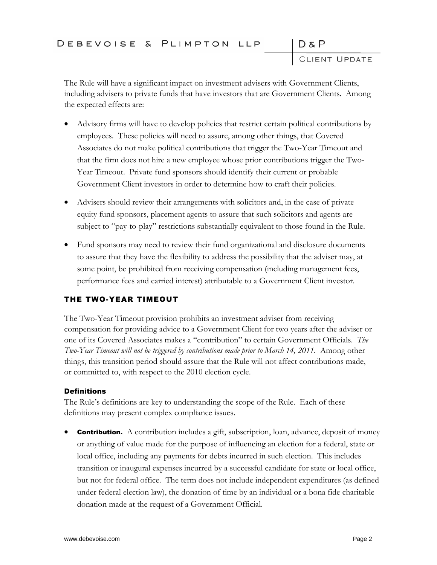CLIENT UPDATE

 $D \& P$ 

The Rule will have a significant impact on investment advisers with Government Clients, including advisers to private funds that have investors that are Government Clients. Among the expected effects are:

- Advisory firms will have to develop policies that restrict certain political contributions by employees. These policies will need to assure, among other things, that Covered Associates do not make political contributions that trigger the Two-Year Timeout and that the firm does not hire a new employee whose prior contributions trigger the Two-Year Timeout. Private fund sponsors should identify their current or probable Government Client investors in order to determine how to craft their policies.
- Advisers should review their arrangements with solicitors and, in the case of private equity fund sponsors, placement agents to assure that such solicitors and agents are subject to "pay-to-play" restrictions substantially equivalent to those found in the Rule.
- Fund sponsors may need to review their fund organizational and disclosure documents to assure that they have the flexibility to address the possibility that the adviser may, at some point, be prohibited from receiving compensation (including management fees, performance fees and carried interest) attributable to a Government Client investor.

# THE TWO-YEAR TIMEOUT

The Two-Year Timeout provision prohibits an investment adviser from receiving compensation for providing advice to a Government Client for two years after the adviser or one of its Covered Associates makes a "contribution" to certain Government Officials. *The Two-Year Timeout will not be triggered by contributions made prior to March 14, 2011.* Among other things, this transition period should assure that the Rule will not affect contributions made, or committed to, with respect to the 2010 election cycle.

### **Definitions**

The Rule's definitions are key to understanding the scope of the Rule. Each of these definitions may present complex compliance issues.

**Contribution.** A contribution includes a gift, subscription, loan, advance, deposit of money or anything of value made for the purpose of influencing an election for a federal, state or local office, including any payments for debts incurred in such election. This includes transition or inaugural expenses incurred by a successful candidate for state or local office, but not for federal office. The term does not include independent expenditures (as defined under federal election law), the donation of time by an individual or a bona fide charitable donation made at the request of a Government Official.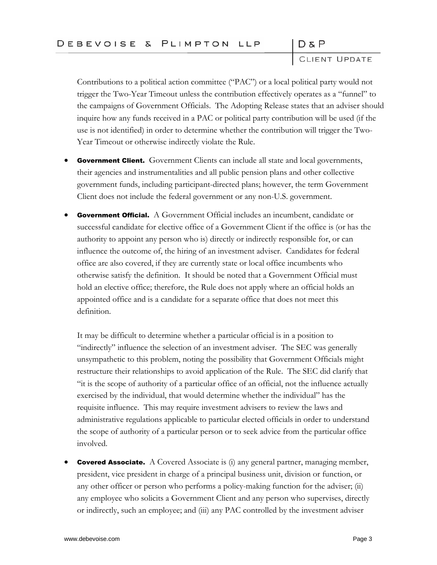CLIENT UPDATE

Contributions to a political action committee ("PAC") or a local political party would not trigger the Two-Year Timeout unless the contribution effectively operates as a "funnel" to the campaigns of Government Officials. The Adopting Release states that an adviser should inquire how any funds received in a PAC or political party contribution will be used (if the use is not identified) in order to determine whether the contribution will trigger the Two-Year Timeout or otherwise indirectly violate the Rule.

- **Government Client.** Government Clients can include all state and local governments, their agencies and instrumentalities and all public pension plans and other collective government funds, including participant-directed plans; however, the term Government Client does not include the federal government or any non-U.S. government.
- **Government Official.** A Government Official includes an incumbent, candidate or successful candidate for elective office of a Government Client if the office is (or has the authority to appoint any person who is) directly or indirectly responsible for, or can influence the outcome of, the hiring of an investment adviser. Candidates for federal office are also covered, if they are currently state or local office incumbents who otherwise satisfy the definition. It should be noted that a Government Official must hold an elective office; therefore, the Rule does not apply where an official holds an appointed office and is a candidate for a separate office that does not meet this definition.

It may be difficult to determine whether a particular official is in a position to "indirectly" influence the selection of an investment adviser. The SEC was generally unsympathetic to this problem, noting the possibility that Government Officials might restructure their relationships to avoid application of the Rule. The SEC did clarify that "it is the scope of authority of a particular office of an official, not the influence actually exercised by the individual, that would determine whether the individual" has the requisite influence. This may require investment advisers to review the laws and administrative regulations applicable to particular elected officials in order to understand the scope of authority of a particular person or to seek advice from the particular office involved.

**Covered Associate.** A Covered Associate is (i) any general partner, managing member, president, vice president in charge of a principal business unit, division or function, or any other officer or person who performs a policy-making function for the adviser; (ii) any employee who solicits a Government Client and any person who supervises, directly or indirectly, such an employee; and (iii) any PAC controlled by the investment adviser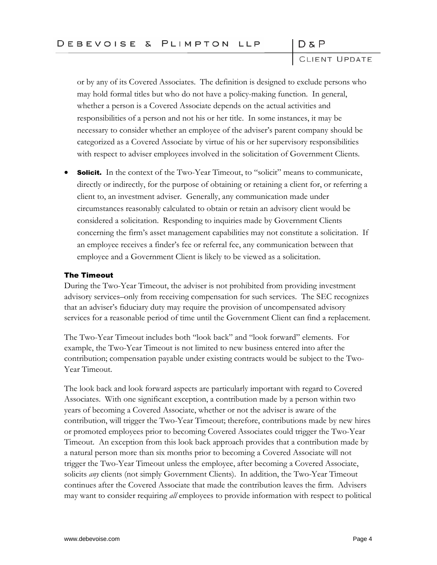CLIENT UPDATE

or by any of its Covered Associates. The definition is designed to exclude persons who may hold formal titles but who do not have a policy-making function. In general, whether a person is a Covered Associate depends on the actual activities and responsibilities of a person and not his or her title. In some instances, it may be necessary to consider whether an employee of the adviser's parent company should be categorized as a Covered Associate by virtue of his or her supervisory responsibilities with respect to adviser employees involved in the solicitation of Government Clients.

**Solicit.** In the context of the Two-Year Timeout, to "solicit" means to communicate, directly or indirectly, for the purpose of obtaining or retaining a client for, or referring a client to, an investment adviser. Generally, any communication made under circumstances reasonably calculated to obtain or retain an advisory client would be considered a solicitation. Responding to inquiries made by Government Clients concerning the firm's asset management capabilities may not constitute a solicitation. If an employee receives a finder's fee or referral fee, any communication between that employee and a Government Client is likely to be viewed as a solicitation.

#### The Timeout

During the Two-Year Timeout, the adviser is not prohibited from providing investment advisory services–only from receiving compensation for such services. The SEC recognizes that an adviser's fiduciary duty may require the provision of uncompensated advisory services for a reasonable period of time until the Government Client can find a replacement.

The Two-Year Timeout includes both "look back" and "look forward" elements. For example, the Two-Year Timeout is not limited to new business entered into after the contribution; compensation payable under existing contracts would be subject to the Two-Year Timeout.

The look back and look forward aspects are particularly important with regard to Covered Associates. With one significant exception, a contribution made by a person within two years of becoming a Covered Associate, whether or not the adviser is aware of the contribution, will trigger the Two-Year Timeout; therefore, contributions made by new hires or promoted employees prior to becoming Covered Associates could trigger the Two-Year Timeout. An exception from this look back approach provides that a contribution made by a natural person more than six months prior to becoming a Covered Associate will not trigger the Two-Year Timeout unless the employee, after becoming a Covered Associate, solicits *any* clients (not simply Government Clients). In addition, the Two-Year Timeout continues after the Covered Associate that made the contribution leaves the firm. Advisers may want to consider requiring *all* employees to provide information with respect to political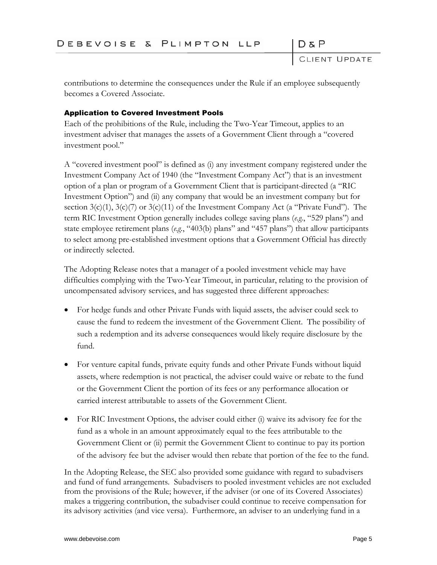CLIENT UPDATE

 $D \& P$ 

contributions to determine the consequences under the Rule if an employee subsequently becomes a Covered Associate.

## Application to Covered Investment Pools

Each of the prohibitions of the Rule, including the Two-Year Timeout, applies to an investment adviser that manages the assets of a Government Client through a "covered investment pool."

A "covered investment pool" is defined as (i) any investment company registered under the Investment Company Act of 1940 (the "Investment Company Act") that is an investment option of a plan or program of a Government Client that is participant-directed (a "RIC Investment Option") and (ii) any company that would be an investment company but for section  $3(c)(1)$ ,  $3(c)(7)$  or  $3(c)(11)$  of the Investment Company Act (a "Private Fund"). The term RIC Investment Option generally includes college saving plans (*e.g.*, "529 plans") and state employee retirement plans (*e.g.*, "403(b) plans" and "457 plans") that allow participants to select among pre-established investment options that a Government Official has directly or indirectly selected.

The Adopting Release notes that a manager of a pooled investment vehicle may have difficulties complying with the Two-Year Timeout, in particular, relating to the provision of uncompensated advisory services, and has suggested three different approaches:

- For hedge funds and other Private Funds with liquid assets, the adviser could seek to cause the fund to redeem the investment of the Government Client. The possibility of such a redemption and its adverse consequences would likely require disclosure by the fund.
- For venture capital funds, private equity funds and other Private Funds without liquid assets, where redemption is not practical, the adviser could waive or rebate to the fund or the Government Client the portion of its fees or any performance allocation or carried interest attributable to assets of the Government Client.
- For RIC Investment Options, the adviser could either (i) waive its advisory fee for the fund as a whole in an amount approximately equal to the fees attributable to the Government Client or (ii) permit the Government Client to continue to pay its portion of the advisory fee but the adviser would then rebate that portion of the fee to the fund.

In the Adopting Release, the SEC also provided some guidance with regard to subadvisers and fund of fund arrangements. Subadvisers to pooled investment vehicles are not excluded from the provisions of the Rule; however, if the adviser (or one of its Covered Associates) makes a triggering contribution, the subadviser could continue to receive compensation for its advisory activities (and vice versa). Furthermore, an adviser to an underlying fund in a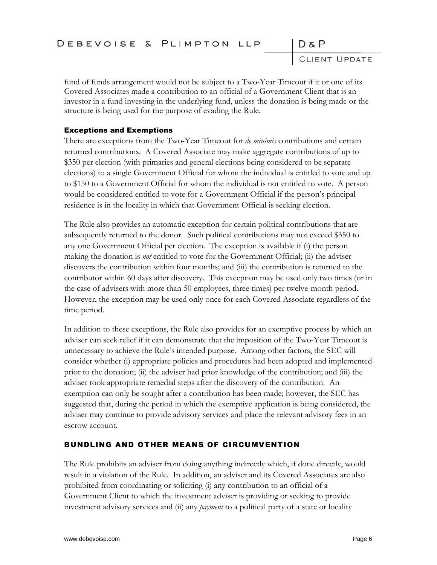CLIENT UPDATE

fund of funds arrangement would not be subject to a Two-Year Timeout if it or one of its Covered Associates made a contribution to an official of a Government Client that is an investor in a fund investing in the underlying fund, unless the donation is being made or the structure is being used for the purpose of evading the Rule.

## Exceptions and Exemptions

There are exceptions from the Two-Year Timeout for *de minimis* contributions and certain returned contributions. A Covered Associate may make aggregate contributions of up to \$350 per election (with primaries and general elections being considered to be separate elections) to a single Government Official for whom the individual is entitled to vote and up to \$150 to a Government Official for whom the individual is not entitled to vote. A person would be considered entitled to vote for a Government Official if the person's principal residence is in the locality in which that Government Official is seeking election.

The Rule also provides an automatic exception for certain political contributions that are subsequently returned to the donor. Such political contributions may not exceed \$350 to any one Government Official per election. The exception is available if (i) the person making the donation is *not* entitled to vote for the Government Official; (ii) the adviser discovers the contribution within four months; and (iii) the contribution is returned to the contributor within 60 days after discovery. This exception may be used only two times (or in the case of advisers with more than 50 employees, three times) per twelve-month period. However, the exception may be used only once for each Covered Associate regardless of the time period.

In addition to these exceptions, the Rule also provides for an exemptive process by which an adviser can seek relief if it can demonstrate that the imposition of the Two-Year Timeout is unnecessary to achieve the Rule's intended purpose. Among other factors, the SEC will consider whether (i) appropriate policies and procedures had been adopted and implemented prior to the donation; (ii) the adviser had prior knowledge of the contribution; and (iii) the adviser took appropriate remedial steps after the discovery of the contribution. An exemption can only be sought after a contribution has been made; however, the SEC has suggested that, during the period in which the exemptive application is being considered, the adviser may continue to provide advisory services and place the relevant advisory fees in an escrow account.

# BUNDLING AND OTHER MEANS OF CIRCUMVENTION

The Rule prohibits an adviser from doing anything indirectly which, if done directly, would result in a violation of the Rule. In addition, an adviser and its Covered Associates are also prohibited from coordinating or soliciting (i) any contribution to an official of a Government Client to which the investment adviser is providing or seeking to provide investment advisory services and (ii) any *payment* to a political party of a state or locality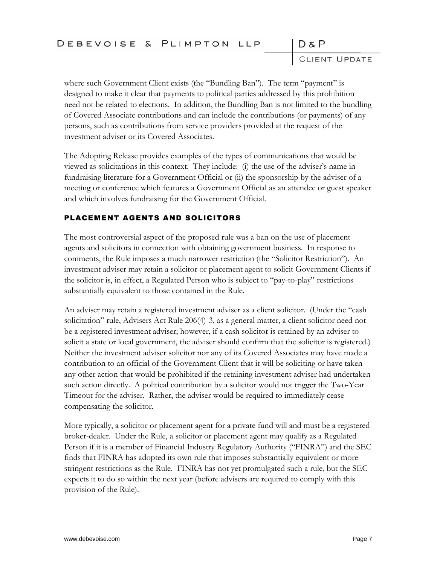CLIENT UPDATE

where such Government Client exists (the "Bundling Ban"). The term "payment" is designed to make it clear that payments to political parties addressed by this prohibition need not be related to elections. In addition, the Bundling Ban is not limited to the bundling of Covered Associate contributions and can include the contributions (or payments) of any persons, such as contributions from service providers provided at the request of the investment adviser or its Covered Associates.

The Adopting Release provides examples of the types of communications that would be viewed as solicitations in this context. They include: (i) the use of the adviser's name in fundraising literature for a Government Official or (ii) the sponsorship by the adviser of a meeting or conference which features a Government Official as an attendee or guest speaker and which involves fundraising for the Government Official.

# PLACEMENT AGENTS AND SOLICITORS

The most controversial aspect of the proposed rule was a ban on the use of placement agents and solicitors in connection with obtaining government business. In response to comments, the Rule imposes a much narrower restriction (the "Solicitor Restriction"). An investment adviser may retain a solicitor or placement agent to solicit Government Clients if the solicitor is, in effect, a Regulated Person who is subject to "pay-to-play" restrictions substantially equivalent to those contained in the Rule.

An adviser may retain a registered investment adviser as a client solicitor. (Under the "cash solicitation" rule, Advisers Act Rule 206(4)-3, as a general matter, a client solicitor need not be a registered investment adviser; however, if a cash solicitor is retained by an adviser to solicit a state or local government, the adviser should confirm that the solicitor is registered.) Neither the investment adviser solicitor nor any of its Covered Associates may have made a contribution to an official of the Government Client that it will be soliciting or have taken any other action that would be prohibited if the retaining investment adviser had undertaken such action directly. A political contribution by a solicitor would not trigger the Two-Year Timeout for the adviser. Rather, the adviser would be required to immediately cease compensating the solicitor.

More typically, a solicitor or placement agent for a private fund will and must be a registered broker-dealer. Under the Rule, a solicitor or placement agent may qualify as a Regulated Person if it is a member of Financial Industry Regulatory Authority ("FINRA") and the SEC finds that FINRA has adopted its own rule that imposes substantially equivalent or more stringent restrictions as the Rule. FINRA has not yet promulgated such a rule, but the SEC expects it to do so within the next year (before advisers are required to comply with this provision of the Rule).